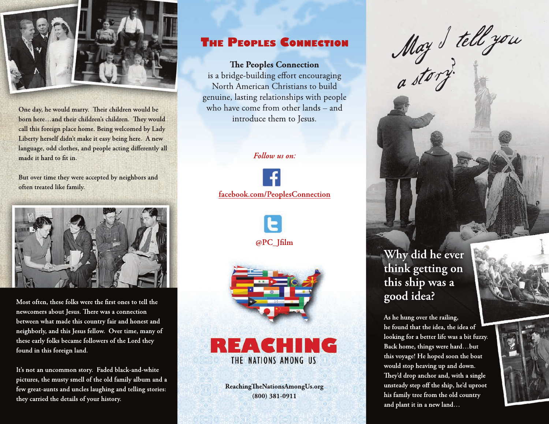

One day, he would marry. Their children would be born here...and their children's children. They would call this foreign place home. Being welcomed by Lady Liberty herself didn't make it easy being here. A new language, odd clothes, and people acting differently all made it hard to fit in.

But over time they were accepted by neighbors and often treated like family.



Most often, these folks were the first ones to tell the newcomers about Jesus. There was a connection between what made this country fair and honest and neighborly, and this Jesus fellow. Over time, many of these early folks became followers of the Lord they found in this foreign land.

It's not an uncommon story. Faded black-and-white pictures, the musty smell of the old family album and a few great-aunts and uncles laughing and telling stories: they carried the details of your history.

## **THE PEOPLES CONNECTION**

### **The Peoples Connection**

is a bridge-building effort encouraging North American Christians to build genuine, lasting relationships with people who have come from other lands - and introduce them to Jesus.

#### Follow us on:

facebook.com/PeoplesConnection





## REACHING THE NATIONS AMONG US

ReachingTheNationsAmongUs.org  $(800)$  381-0911

May Stellyon

## Why did he ever think getting on this ship was a good idea?

As he hung over the railing, he found that the idea, the idea of looking for a better life was a bit fuzzy. Back home, things were hard...but this voyage! He hoped soon the boat would stop heaving up and down. They'd drop anchor and, with a single unsteady step off the ship, he'd uproot his family tree from the old country and plant it in a new land...